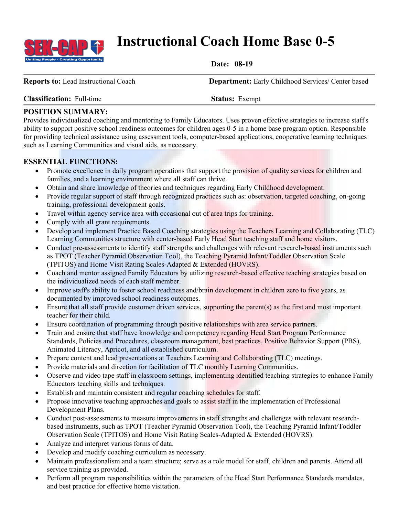

# **Instructional Coach Home Base 0-5**

**Date: 08-19**

**Reports to:** Lead Instructional Coach **Department:** Early Childhood Services/ Center based

### **Classification:** Full-time **Status:** Exempt

## **POSITION SUMMARY:**

Provides individualized coaching and mentoring to Family Educators. Uses proven effective strategies to increase staff's ability to support positive school readiness outcomes for children ages 0-5 in a home base program option. Responsible for providing technical assistance using assessment tools, computer-based applications, cooperative learning techniques such as Learning Communities and visual aids, as necessary.

## **ESSENTIAL FUNCTIONS:**

- Promote excellence in daily program operations that support the provision of quality services for children and families, and a learning environment where all staff can thrive.
- Obtain and share knowledge of theories and techniques regarding Early Childhood development.
- Provide regular support of staff through recognized practices such as: observation, targeted coaching, on-going training, professional development goals.
- Travel within agency service area with occasional out of area trips for training.
- Comply with all grant requirements.
- Develop and implement Practice Based Coaching strategies using the Teachers Learning and Collaborating (TLC) Learning Communities structure with center-based Early Head Start teaching staff and home visitors.
- Conduct pre-assessments to identify staff strengths and challenges with relevant research-based instruments such as TPOT (Teacher Pyramid Observation Tool), the Teaching Pyramid Infant/Toddler Observation Scale (TPITOS) and Home Visit Rating Scales-Adapted & Extended (HOVRS).
- Coach and mentor assigned Family Educators by utilizing research-based effective teaching strategies based on the individualized needs of each staff member.
- Improve staff's ability to foster school readiness and/brain development in children zero to five years, as documented by improved school readiness outcomes.
- Ensure that all staff provide customer driven services, supporting the parent(s) as the first and most important teacher for their child.
- Ensure coordination of programming through positive relationships with area service partners.
- Train and ensure that staff have knowledge and competency regarding Head Start Program Performance Standards, Policies and Procedures, classroom management, best practices, Positive Behavior Support (PBS), Animated Literacy, Apricot, and all established curriculum.
- Prepare content and lead presentations at Teachers Learning and Collaborating (TLC) meetings.
- Provide materials and direction for facilitation of TLC monthly Learning Communities.
- Observe and video tape staff in classroom settings, implementing identified teaching strategies to enhance Family Educators teaching skills and techniques.
- Establish and maintain consistent and regular coaching schedules for staff.
- Propose innovative teaching approaches and goals to assist staff in the implementation of Professional Development Plans.
- Conduct post-assessments to measure improvements in staff strengths and challenges with relevant researchbased instruments, such as TPOT (Teacher Pyramid Observation Tool), the Teaching Pyramid Infant/Toddler Observation Scale (TPITOS) and Home Visit Rating Scales-Adapted & Extended (HOVRS).
- Analyze and interpret various forms of data.
- Develop and modify coaching curriculum as necessary.
- Maintain professionalism and a team structure; serve as a role model for staff, children and parents. Attend all service training as provided.
- Perform all program responsibilities within the parameters of the Head Start Performance Standards mandates, and best practice for effective home visitation.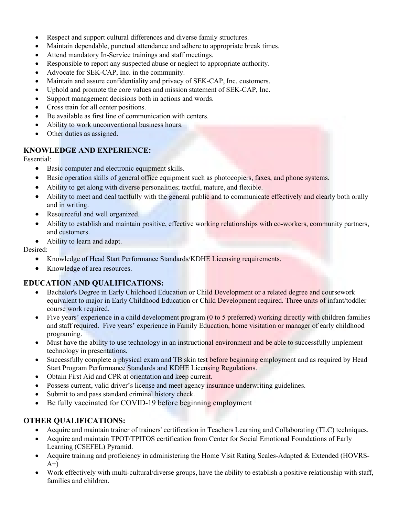- Respect and support cultural differences and diverse family structures.
- Maintain dependable, punctual attendance and adhere to appropriate break times.
- Attend mandatory In-Service trainings and staff meetings.
- Responsible to report any suspected abuse or neglect to appropriate authority.
- Advocate for SEK-CAP, Inc. in the community.
- Maintain and assure confidentiality and privacy of SEK-CAP, Inc. customers.
- Uphold and promote the core values and mission statement of SEK-CAP, Inc.
- Support management decisions both in actions and words.
- Cross train for all center positions.
- Be available as first line of communication with centers.
- Ability to work unconventional business hours.
- Other duties as assigned.

#### **KNOWLEDGE AND EXPERIENCE:**

Essential:

- Basic computer and electronic equipment skills.
- Basic operation skills of general office equipment such as photocopiers, faxes, and phone systems.
- Ability to get along with diverse personalities; tactful, mature, and flexible.
- Ability to meet and deal tactfully with the general public and to communicate effectively and clearly both orally and in writing.
- Resourceful and well organized.
- Ability to establish and maintain positive, effective working relationships with co-workers, community partners, and customers.
- Ability to learn and adapt.

Desired:

- Knowledge of Head Start Performance Standards/KDHE Licensing requirements.
- Knowledge of area resources.

## **EDUCATION AND QUALIFICATIONS:**

- Bachelor's Degree in Early Childhood Education or Child Development or a related degree and coursework equivalent to major in Early Childhood Education or Child Development required. Three units of infant/toddler course work required.
- Five years' experience in a child development program (0 to 5 preferred) working directly with children families and staff required. Five years' experience in Family Education, home visitation or manager of early childhood programing.
- Must have the ability to use technology in an instructional environment and be able to successfully implement technology in presentations.
- Successfully complete a physical exam and TB skin test before beginning employment and as required by Head Start Program Performance Standards and KDHE Licensing Regulations.
- Obtain First Aid and CPR at orientation and keep current.
- Possess current, valid driver's license and meet agency insurance underwriting guidelines.
- Submit to and pass standard criminal history check.
- Be fully vaccinated for COVID-19 before beginning employment

#### **OTHER QUALIFICATIONS:**

- Acquire and maintain trainer of trainers' certification in Teachers Learning and Collaborating (TLC) techniques.
- Acquire and maintain TPOT/TPITOS certification from Center for Social Emotional Foundations of Early Learning (CSEFEL) Pyramid.
- Acquire training and proficiency in administering the Home Visit Rating Scales-Adapted & Extended (HOVRS- $A^{+}$
- Work effectively with multi-cultural/diverse groups, have the ability to establish a positive relationship with staff, families and children.